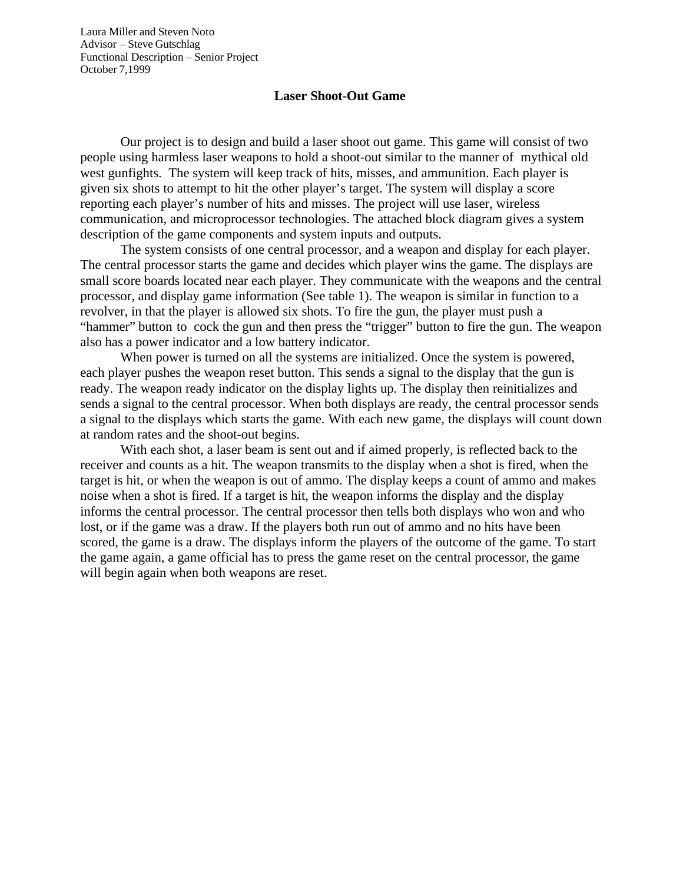Laura Miller and Steven Noto Advisor – Steve Gutschlag Functional Description – Senior Project October 7,1999

## **Laser Shoot-Out Game**

Our project is to design and build a laser shoot out game. This game will consist of two people using harmless laser weapons to hold a shoot-out similar to the manner of mythical old west gunfights. The system will keep track of hits, misses, and ammunition. Each player is given six shots to attempt to hit the other player's target. The system will display a score reporting each player's number of hits and misses. The project will use laser, wireless communication, and microprocessor technologies. The attached block diagram gives a system description of the game components and system inputs and outputs.

The system consists of one central processor, and a weapon and display for each player. The central processor starts the game and decides which player wins the game. The displays are small score boards located near each player. They communicate with the weapons and the central processor, and display game information (See table 1). The weapon is similar in function to a revolver, in that the player is allowed six shots. To fire the gun, the player must push a "hammer" button to cock the gun and then press the "trigger" button to fire the gun. The weapon also has a power indicator and a low battery indicator.

When power is turned on all the systems are initialized. Once the system is powered, each player pushes the weapon reset button. This sends a signal to the display that the gun is ready. The weapon ready indicator on the display lights up. The display then reinitializes and sends a signal to the central processor. When both displays are ready, the central processor sends a signal to the displays which starts the game. With each new game, the displays will count down at random rates and the shoot-out begins.

With each shot, a laser beam is sent out and if aimed properly, is reflected back to the receiver and counts as a hit. The weapon transmits to the display when a shot is fired, when the target is hit, or when the weapon is out of ammo. The display keeps a count of ammo and makes noise when a shot is fired. If a target is hit, the weapon informs the display and the display informs the central processor. The central processor then tells both displays who won and who lost, or if the game was a draw. If the players both run out of ammo and no hits have been scored, the game is a draw. The displays inform the players of the outcome of the game. To start the game again, a game official has to press the game reset on the central processor, the game will begin again when both weapons are reset.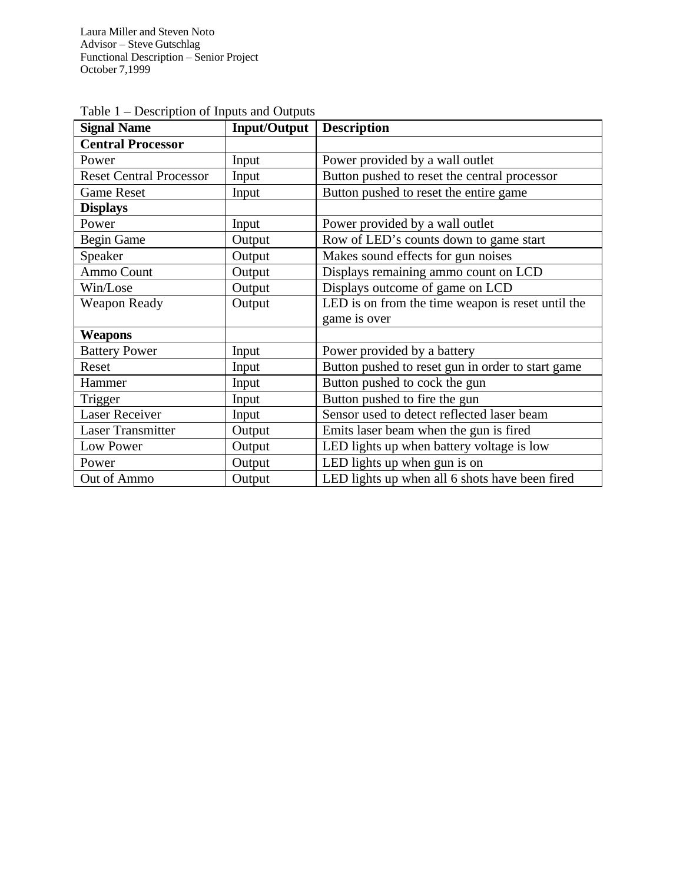Laura Miller and Steven Noto Advisor – Steve Gutschlag Functional Description – Senior Project October 7,1999

| <b>Signal Name</b>             | <b>Input/Output</b> | <b>Description</b>                                |
|--------------------------------|---------------------|---------------------------------------------------|
| <b>Central Processor</b>       |                     |                                                   |
| Power                          | Input               | Power provided by a wall outlet                   |
| <b>Reset Central Processor</b> | Input               | Button pushed to reset the central processor      |
| <b>Game Reset</b>              | Input               | Button pushed to reset the entire game            |
| <b>Displays</b>                |                     |                                                   |
| Power                          | Input               | Power provided by a wall outlet                   |
| <b>Begin Game</b>              | Output              | Row of LED's counts down to game start            |
| Speaker                        | Output              | Makes sound effects for gun noises                |
| Ammo Count                     | Output              | Displays remaining ammo count on LCD              |
| Win/Lose                       | Output              | Displays outcome of game on LCD                   |
| <b>Weapon Ready</b>            | Output              | LED is on from the time weapon is reset until the |
|                                |                     | game is over                                      |
| Weapons                        |                     |                                                   |
| <b>Battery Power</b>           | Input               | Power provided by a battery                       |
| Reset                          | Input               | Button pushed to reset gun in order to start game |
| Hammer                         | Input               | Button pushed to cock the gun                     |
| Trigger                        | Input               | Button pushed to fire the gun                     |
| <b>Laser Receiver</b>          | Input               | Sensor used to detect reflected laser beam        |
| <b>Laser Transmitter</b>       | Output              | Emits laser beam when the gun is fired            |
| Low Power                      | Output              | LED lights up when battery voltage is low         |
| Power                          | Output              | LED lights up when gun is on                      |
| Out of Ammo                    | Output              | LED lights up when all 6 shots have been fired    |

Table 1 – Description of Inputs and Outputs